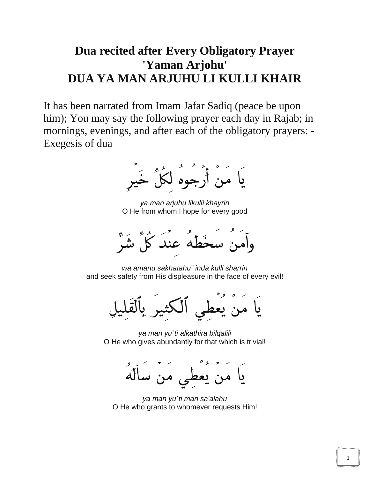## **Dua recited after Every Obligatory Prayer 'Yaman Arjohu' DUA YA MAN ARJUHU LI KULLI KHAIR**

It has been narrated from Imam Jafar Sadiq (peace be upon him); You may say the following prayer each day in Rajab; in mornings, evenings, and after each of the obligatory prayers: - Exegesis of dua

بَا مَنْ أَرْجُوهُ لَكُلِّ خَبِّرٍ

*ya man arjuhu likulli khayrin* O He from whom I hope for every good



*wa amanu sakhatahu `inda kulli sharrin* and seek safety from His displeasure in the face of every evil!

*ya man yu`ti alkathira bilqalili* O He who gives abundantly for that which is trivial!

ی من ساله

*ya man yu`ti man sa'alahu* O He who grants to whomever requests Him!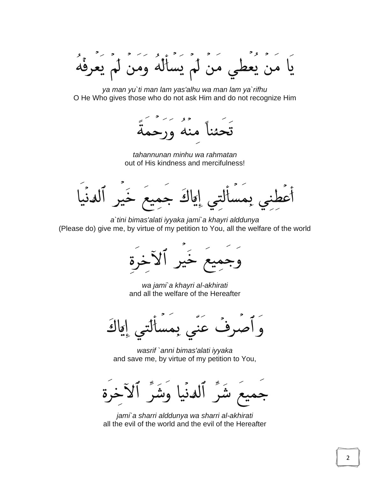يَا مَنْ يَعْطَي مَنْ لَمْ يَسْأَلُهُ وَمَنْ لَمْ يَعْرِفُهُ

*ya man yu`ti man lam yas'alhu wa man lam ya`rifhu* O He Who gives those who do not ask Him and do not recognize Him

ىئنا منه ور-

*tahannunan minhu wa rahmatan* out of His kindness and mercifulness!

إِيَاكَ جِمِيعُ خَ ىمس

*a`tini bimas'alati iyyaka jami`a khayri alddunya* (Please do) give me, by virtue of my petition to You, all the welfare of the world

*wa jami`a khayri al-akhirati* and all the welfare of the Hereafter

عنی بم اقاك ۏ

*wasrif `anni bimas'alati iyyaka* and save me, by virtue of my petition to You,



*jami`a sharri alddunya wa sharri al-akhirati* all the evil of the world and the evil of the Hereafter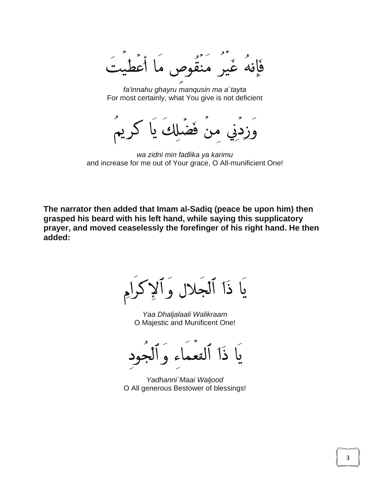ما أعط غَير منقُوم فافه

*fa'innahu ghayru manqusin ma a`tayta* For most certainly, what You give is not deficient

کر یہ وزدنى

*wa zidni min fadlika ya karimu* and increase for me out of Your grace, O All-munificient One!

**The narrator then added that Imam al-Sadiq (peace be upon him) then grasped his beard with his left hand, while saying this supplicatory prayer, and moved ceaselessly the forefinger of his right hand. He then added:**

يَا ذَآ ٱلۡجَلالِ وَا

*Yaa Dhaljalaali Walikraam* O Majestic and Munificent One!

ىا ذا

*Yadhanni`Maai Waljood* O All generous Bestower of blessings!